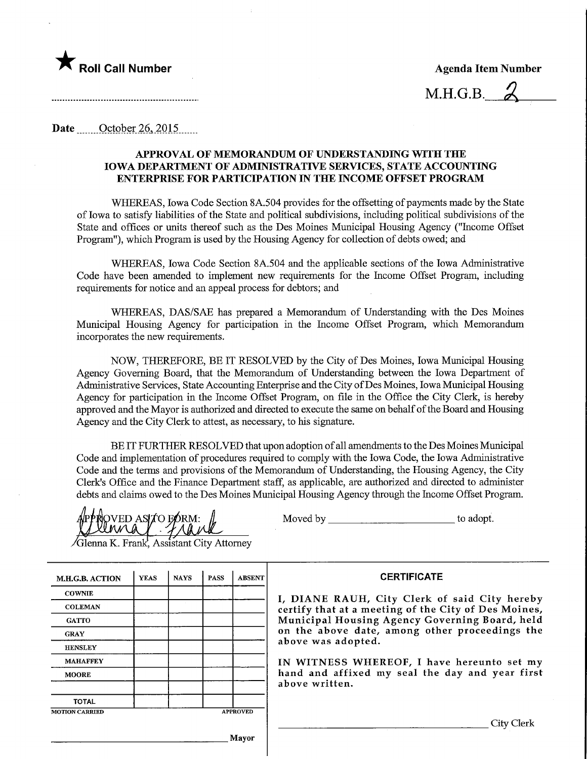

M.H.G.B. ^

Date October 26, 2015

## APPROVAL OF MEMORANDUM OF UNDERSTANDING WITH THE IOWA DEPARTMENT OF ADMINISTRATIVE SERVICES, STATE ACCOUNTF^G ENTERPRISE FOR PARTICIPATION IN THE INCOME OFFSET PROGRAM

WHEREAS, Iowa Code Section 8A.504 provides for the offsetting of payments made by the State of Iowa to satisfy liabilities of the State and political subdivisions, mcluding political subdivisions of the State and offices or units thereof such as the Des Moines Municipal Housing Agency ("Income Offset Program"), which Program is used by the Housing Agency for collection of debts owed; and

WHEREAS, Iowa Code Section 8A.504 and the applicable sections of the Iowa Administrative Code have been amended to implement new requirements for the Income Offset Program, includmg requirements for notice and an appeal process for debtors; and

WHEREAS, DAS/SAE has prepared a Memorandum of Understanding with the Des Moines Municipal Housing Agency for participation in the Income Offset Program, which Memorandum incorporates the new requirements.

NOW, THEREFORE, BE IT RESOLVED by the City of Des Moines, Iowa Municipal Housing Agency Governing Board, that the Memorandum of Understanding between the Iowa Department of Administrative Services, State Accounting Enterprise and the City of Des Moines, Iowa Municipal Housing Agency for participation in the Income Offset Program, on file in the Office the City Clerk, is hereby approved and the Mayor is authorized and directed to execute the same on behalf of the Board and Housing Agency and the City Clerk to attest, as necessary, to his signature.

BE FT FURTHER RESOLVED that upon adoption of all amendments to the Des Moines Municipal Code and implementation of procedures required to comply with the Iowa Code, the Iowa Administrative Code and the terms and provisions of the Memorandum of Understanding, the Housing Agency, the City Clerk's Office and the Finance Department staff, as applicable, are authorized and directed to administer debts and claims owed to the Des Moines Municipal Housing Agency through the Income Offset Program.

QVED ASITO EORM:

Moved by to adopt.

Glenna K. Frank, Assistant City Attorney

| <b>M.H.G.B. ACTION</b> | <b>YEAS</b> | <b>NAYS</b> | <b>PASS</b> | <b>ABSENT</b>   |
|------------------------|-------------|-------------|-------------|-----------------|
| <b>COWNIE</b>          |             |             |             |                 |
| <b>COLEMAN</b>         |             |             |             |                 |
| <b>GATTO</b>           |             |             |             |                 |
| <b>GRAY</b>            |             |             |             |                 |
| <b>HENSLEY</b>         |             |             |             |                 |
| <b>MAHAFFEY</b>        |             |             |             |                 |
| <b>MOORE</b>           |             |             |             |                 |
| <b>TOTAL</b>           |             |             |             |                 |
| <b>MOTION CARRIED</b>  |             |             |             | <b>APPROVED</b> |

**CERTIFICATE** 

I, DIANE RAUH, City Clerk of said City hereby certify that at a meeting of the City of Des Moines, Municipal Housing Agency Governing Board, held on the above date, among other proceedings the above was adopted.

IN WITNESS WHEREOF, I have hereunto set my hand and affixed my seal the day and year first above written.

. City Clerk

**Mayor**